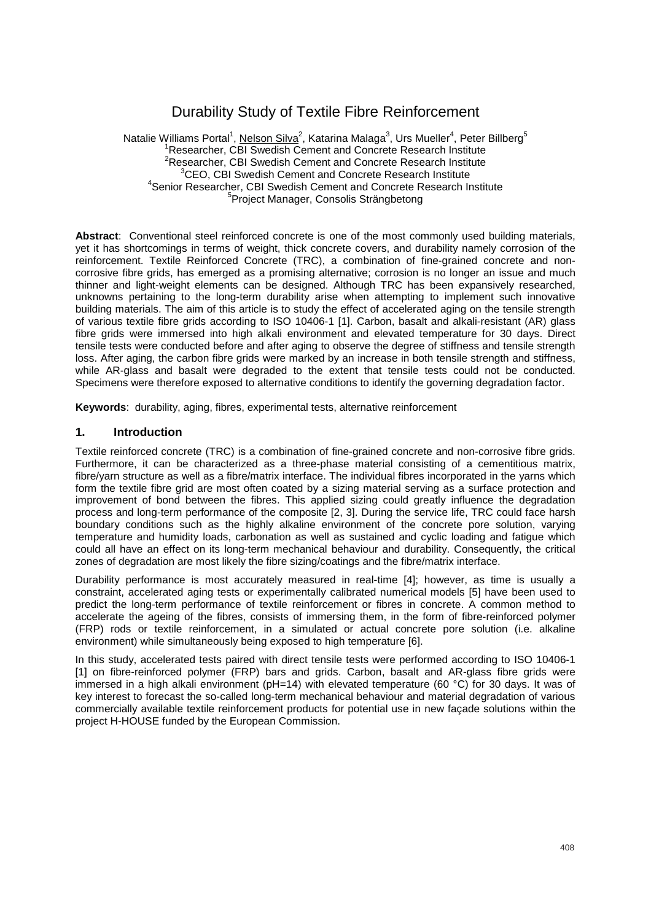# Durability Study of Textile Fibre Reinforcement

Natalie Williams Portal<sup>1</sup>, <u>Nelson Silva<sup>2</sup>,</u> Katarina Malaga<sup>3</sup>, Urs Mueller<sup>4</sup>, Peter Billberg<sup>5</sup> <sup>1</sup>Researcher, CBI Swedish Cement and Concrete Research Institute <sup>2</sup>Researcher, CBI Swedish Cement and Concrete Research Institute <sup>3</sup>CEO, CBI Swedish Cement and Concrete Research Institute<br><sup>4</sup>Sepier Besearcher, CBI Swedish Cement and Concrete Besearch In <sup>4</sup> Senior Researcher, CBI Swedish Cement and Concrete Research Institute <sup>5</sup> Project Manager, Consolis Strängbetong

**Abstract**: Conventional steel reinforced concrete is one of the most commonly used building materials, yet it has shortcomings in terms of weight, thick concrete covers, and durability namely corrosion of the reinforcement. Textile Reinforced Concrete (TRC), a combination of fine-grained concrete and noncorrosive fibre grids, has emerged as a promising alternative; corrosion is no longer an issue and much thinner and light-weight elements can be designed. Although TRC has been expansively researched, unknowns pertaining to the long-term durability arise when attempting to implement such innovative building materials. The aim of this article is to study the effect of accelerated aging on the tensile strength of various textile fibre grids according to ISO 10406-1 [1]. Carbon, basalt and alkali-resistant (AR) glass fibre grids were immersed into high alkali environment and elevated temperature for 30 days. Direct tensile tests were conducted before and after aging to observe the degree of stiffness and tensile strength loss. After aging, the carbon fibre grids were marked by an increase in both tensile strength and stiffness, while AR-glass and basalt were degraded to the extent that tensile tests could not be conducted. Specimens were therefore exposed to alternative conditions to identify the governing degradation factor.

**Keywords**: durability, aging, fibres, experimental tests, alternative reinforcement

#### **1. Introduction**

Textile reinforced concrete (TRC) is a combination of fine-grained concrete and non-corrosive fibre grids. Furthermore, it can be characterized as a three-phase material consisting of a cementitious matrix, fibre/yarn structure as well as a fibre/matrix interface. The individual fibres incorporated in the yarns which form the textile fibre grid are most often coated by a sizing material serving as a surface protection and improvement of bond between the fibres. This applied sizing could greatly influence the degradation process and long-term performance of the composite [2, 3]. During the service life, TRC could face harsh boundary conditions such as the highly alkaline environment of the concrete pore solution, varying temperature and humidity loads, carbonation as well as sustained and cyclic loading and fatigue which could all have an effect on its long-term mechanical behaviour and durability. Consequently, the critical zones of degradation are most likely the fibre sizing/coatings and the fibre/matrix interface.

Durability performance is most accurately measured in real-time [4]; however, as time is usually a constraint, accelerated aging tests or experimentally calibrated numerical models [5] have been used to predict the long-term performance of textile reinforcement or fibres in concrete. A common method to accelerate the ageing of the fibres, consists of immersing them, in the form of fibre-reinforced polymer (FRP) rods or textile reinforcement, in a simulated or actual concrete pore solution (i.e. alkaline environment) while simultaneously being exposed to high temperature [6].

In this study, accelerated tests paired with direct tensile tests were performed according to ISO 10406-1 [1] on fibre-reinforced polymer (FRP) bars and grids. Carbon, basalt and AR-glass fibre grids were immersed in a high alkali environment (pH=14) with elevated temperature (60 °C) for 30 days. It was of key interest to forecast the so-called long-term mechanical behaviour and material degradation of various commercially available textile reinforcement products for potential use in new façade solutions within the project H-HOUSE funded by the European Commission.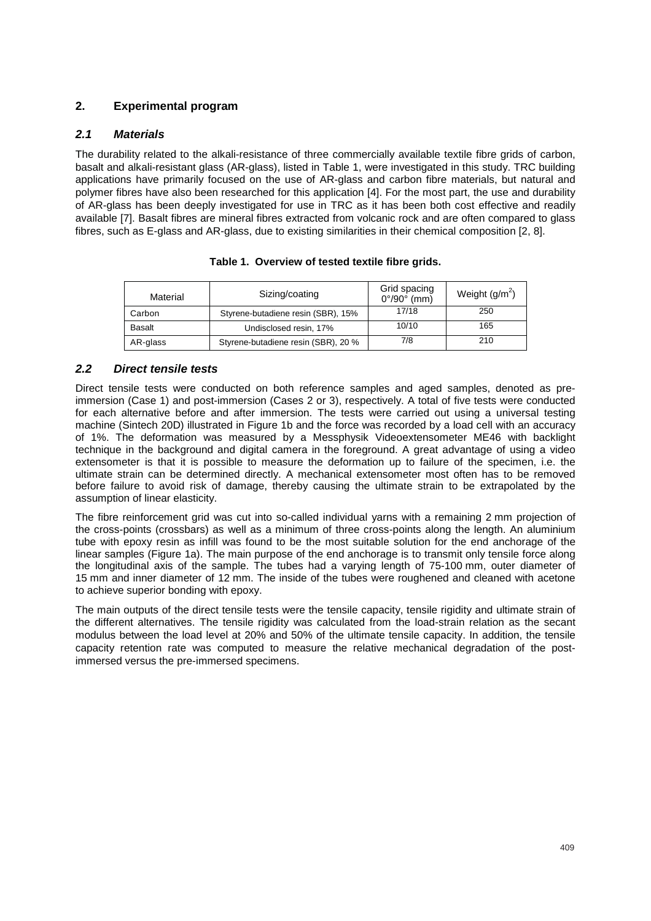# **2. Experimental program**

## *2.1 Materials*

The durability related to the alkali-resistance of three commercially available textile fibre grids of carbon, basalt and alkali-resistant glass (AR-glass), listed in Table 1, were investigated in this study. TRC building applications have primarily focused on the use of AR-glass and carbon fibre materials, but natural and polymer fibres have also been researched for this application [4]. For the most part, the use and durability of AR-glass has been deeply investigated for use in TRC as it has been both cost effective and readily available [7]. Basalt fibres are mineral fibres extracted from volcanic rock and are often compared to glass fibres, such as E-glass and AR-glass, due to existing similarities in their chemical composition [2, 8].

| Material      | Sizing/coating                      | Grid spacing<br>$0^{\circ}/90^{\circ}$ (mm) | Weight $(g/m^2)$ |
|---------------|-------------------------------------|---------------------------------------------|------------------|
| Carbon        | Styrene-butadiene resin (SBR), 15%  | 17/18                                       | 250              |
| <b>Basalt</b> | Undisclosed resin, 17%              | 10/10                                       | 165              |
| AR-glass      | Styrene-butadiene resin (SBR), 20 % | 7/8                                         | 210              |

#### **Table 1. Overview of tested textile fibre grids.**

#### *2.2 Direct tensile tests*

Direct tensile tests were conducted on both reference samples and aged samples, denoted as preimmersion (Case 1) and post-immersion (Cases 2 or 3), respectively. A total of five tests were conducted for each alternative before and after immersion. The tests were carried out using a universal testing machine (Sintech 20D) illustrated in Figure 1b and the force was recorded by a load cell with an accuracy of 1%. The deformation was measured by a Messphysik Videoextensometer ME46 with backlight technique in the background and digital camera in the foreground. A great advantage of using a video extensometer is that it is possible to measure the deformation up to failure of the specimen, i.e. the ultimate strain can be determined directly. A mechanical extensometer most often has to be removed before failure to avoid risk of damage, thereby causing the ultimate strain to be extrapolated by the assumption of linear elasticity.

The fibre reinforcement grid was cut into so-called individual yarns with a remaining 2 mm projection of the cross-points (crossbars) as well as a minimum of three cross-points along the length. An aluminium tube with epoxy resin as infill was found to be the most suitable solution for the end anchorage of the linear samples (Figure 1a). The main purpose of the end anchorage is to transmit only tensile force along the longitudinal axis of the sample. The tubes had a varying length of 75-100 mm, outer diameter of 15 mm and inner diameter of 12 mm. The inside of the tubes were roughened and cleaned with acetone to achieve superior bonding with epoxy.

The main outputs of the direct tensile tests were the tensile capacity, tensile rigidity and ultimate strain of the different alternatives. The tensile rigidity was calculated from the load-strain relation as the secant modulus between the load level at 20% and 50% of the ultimate tensile capacity. In addition, the tensile capacity retention rate was computed to measure the relative mechanical degradation of the postimmersed versus the pre-immersed specimens.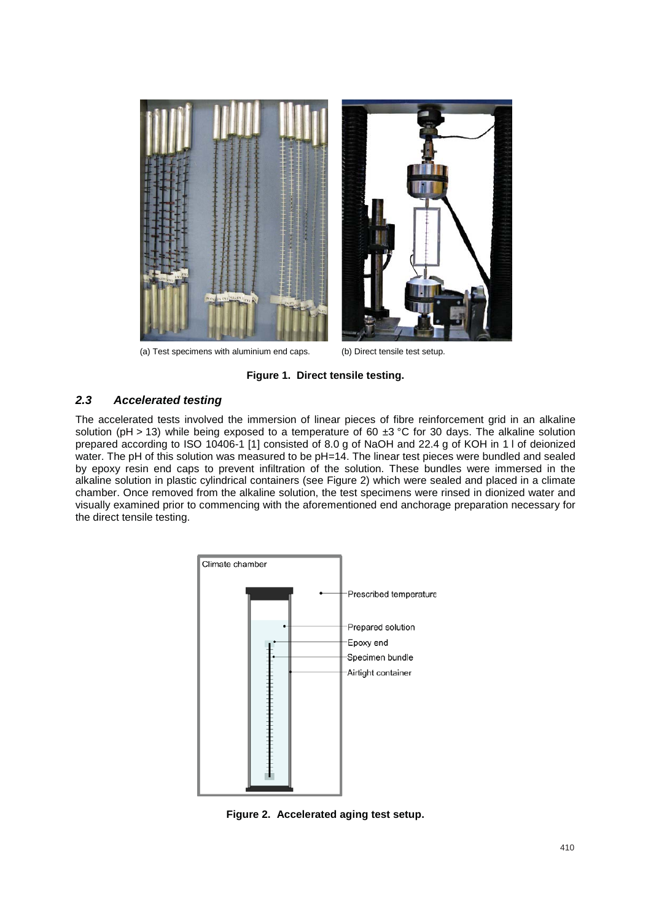

(a) Test specimens with aluminium end caps. (b) Direct tensile test setup.

**Figure 1. Direct tensile testing.** 

#### *2.3 Accelerated testing*

The accelerated tests involved the immersion of linear pieces of fibre reinforcement grid in an alkaline solution (pH > 13) while being exposed to a temperature of 60  $\pm$ 3 °C for 30 days. The alkaline solution prepared according to ISO 10406-1 [1] consisted of 8.0 g of NaOH and 22.4 g of KOH in 1 l of deionized water. The pH of this solution was measured to be pH=14. The linear test pieces were bundled and sealed by epoxy resin end caps to prevent infiltration of the solution. These bundles were immersed in the alkaline solution in plastic cylindrical containers (see Figure 2) which were sealed and placed in a climate chamber. Once removed from the alkaline solution, the test specimens were rinsed in dionized water and visually examined prior to commencing with the aforementioned end anchorage preparation necessary for the direct tensile testing.



**Figure 2. Accelerated aging test setup.**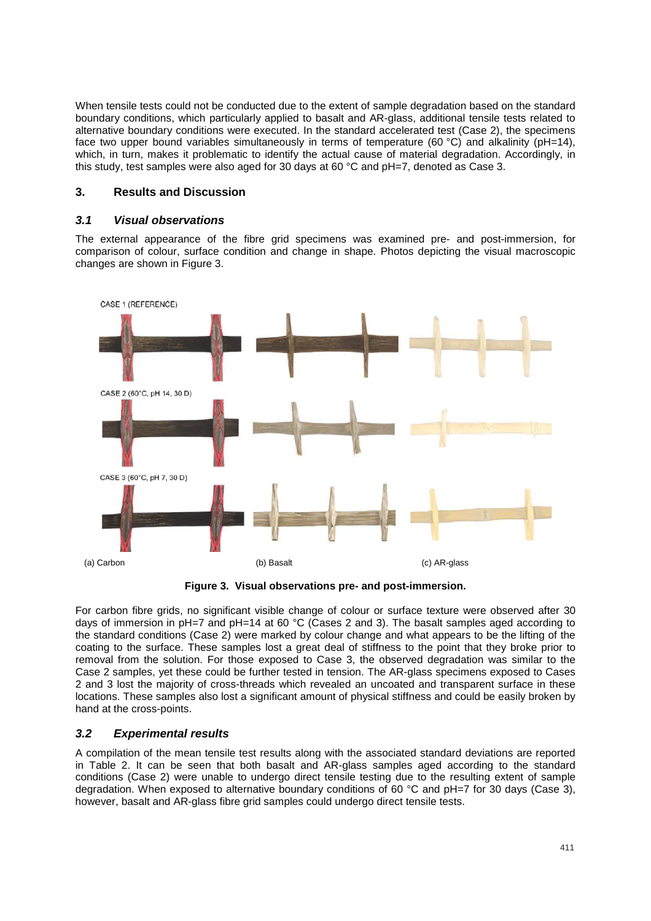When tensile tests could not be conducted due to the extent of sample degradation based on the standard boundary conditions, which particularly applied to basalt and AR-glass, additional tensile tests related to alternative boundary conditions were executed. In the standard accelerated test (Case 2), the specimens face two upper bound variables simultaneously in terms of temperature (60 °C) and alkalinity (pH=14), which, in turn, makes it problematic to identify the actual cause of material degradation. Accordingly, in this study, test samples were also aged for 30 days at 60 °C and pH=7, denoted as Case 3.

#### **3. Results and Discussion**

### *3.1 Visual observations*

The external appearance of the fibre grid specimens was examined pre- and post-immersion, for comparison of colour, surface condition and change in shape. Photos depicting the visual macroscopic changes are shown in Figure 3.



**Figure 3. Visual observations pre- and post-immersion.**

For carbon fibre grids, no significant visible change of colour or surface texture were observed after 30 days of immersion in  $pH=7$  and  $pH=14$  at 60 °C (Cases 2 and 3). The basalt samples aged according to the standard conditions (Case 2) were marked by colour change and what appears to be the lifting of the coating to the surface. These samples lost a great deal of stiffness to the point that they broke prior to removal from the solution. For those exposed to Case 3, the observed degradation was similar to the Case 2 samples, yet these could be further tested in tension. The AR-glass specimens exposed to Cases 2 and 3 lost the majority of cross-threads which revealed an uncoated and transparent surface in these locations. These samples also lost a significant amount of physical stiffness and could be easily broken by hand at the cross-points.

## *3.2 Experimental results*

A compilation of the mean tensile test results along with the associated standard deviations are reported in Table 2. It can be seen that both basalt and AR-glass samples aged according to the standard conditions (Case 2) were unable to undergo direct tensile testing due to the resulting extent of sample degradation. When exposed to alternative boundary conditions of 60 °C and pH=7 for 30 days (Case 3), however, basalt and AR-glass fibre grid samples could undergo direct tensile tests.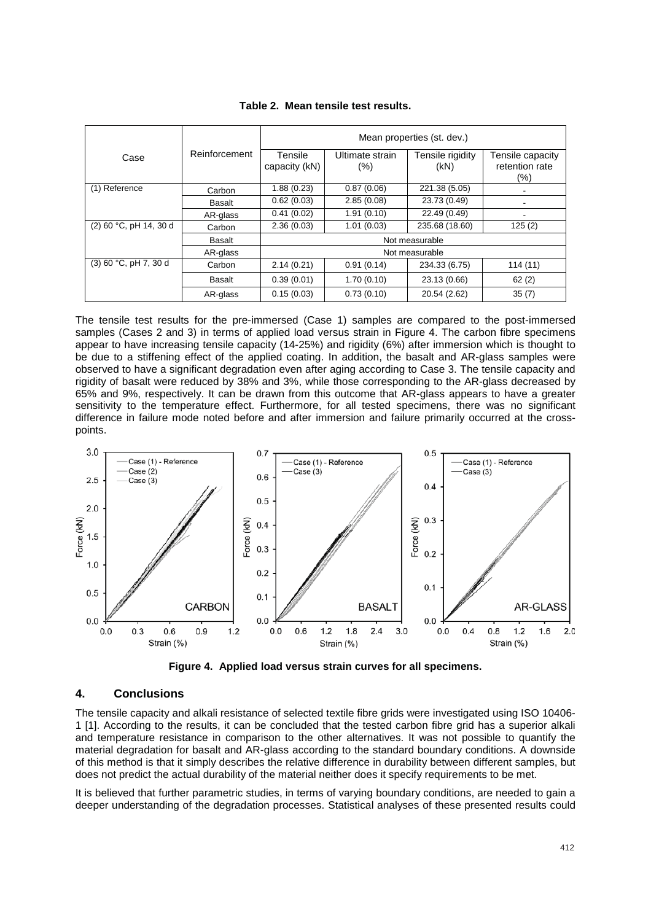|                          |                          | Mean properties (st. dev.) |                        |                          |                                           |
|--------------------------|--------------------------|----------------------------|------------------------|--------------------------|-------------------------------------------|
| Case                     | Reinforcement            | Tensile<br>capacity (kN)   | Ultimate strain<br>(%) | Tensile rigidity<br>(kN) | Tensile capacity<br>retention rate<br>(%) |
| (1) Reference            | Carbon                   | 1.88(0.23)                 | 0.87(0.06)             | 221.38 (5.05)            |                                           |
|                          | Basalt                   | 0.62(0.03)                 | 2.85(0.08)             | 23.73 (0.49)             | $\overline{\phantom{a}}$                  |
|                          | AR-glass                 | 0.41(0.02)                 | 1.91(0.10)             | 22.49 (0.49)             |                                           |
| $(2)$ 60 °C, pH 14, 30 d | Carbon                   | 2.36(0.03)                 | 1.01(0.03)             | 235.68 (18.60)           | 125(2)                                    |
|                          | Basalt<br>Not measurable |                            |                        |                          |                                           |
|                          | AR-glass                 | Not measurable             |                        |                          |                                           |
| $(3)$ 60 °C, pH 7, 30 d  | Carbon                   | 2.14(0.21)                 | 0.91(0.14)             | 234.33 (6.75)            | 114(11)                                   |
|                          | <b>Basalt</b>            | 0.39(0.01)                 | 1.70(0.10)             | 23.13 (0.66)             | 62(2)                                     |
|                          | AR-glass                 | 0.15(0.03)                 | 0.73(0.10)             | 20.54 (2.62)             | 35(7)                                     |

| Table 2.  Mean tensile test results. |  |  |
|--------------------------------------|--|--|
|                                      |  |  |

The tensile test results for the pre-immersed (Case 1) samples are compared to the post-immersed samples (Cases 2 and 3) in terms of applied load versus strain in Figure 4. The carbon fibre specimens appear to have increasing tensile capacity (14-25%) and rigidity (6%) after immersion which is thought to be due to a stiffening effect of the applied coating. In addition, the basalt and AR-glass samples were observed to have a significant degradation even after aging according to Case 3. The tensile capacity and rigidity of basalt were reduced by 38% and 3%, while those corresponding to the AR-glass decreased by 65% and 9%, respectively. It can be drawn from this outcome that AR-glass appears to have a greater sensitivity to the temperature effect. Furthermore, for all tested specimens, there was no significant difference in failure mode noted before and after immersion and failure primarily occurred at the crosspoints.





#### **4. Conclusions**

The tensile capacity and alkali resistance of selected textile fibre grids were investigated using ISO 10406- 1 [1]. According to the results, it can be concluded that the tested carbon fibre grid has a superior alkali and temperature resistance in comparison to the other alternatives. It was not possible to quantify the material degradation for basalt and AR-glass according to the standard boundary conditions. A downside of this method is that it simply describes the relative difference in durability between different samples, but does not predict the actual durability of the material neither does it specify requirements to be met.

It is believed that further parametric studies, in terms of varying boundary conditions, are needed to gain a deeper understanding of the degradation processes. Statistical analyses of these presented results could